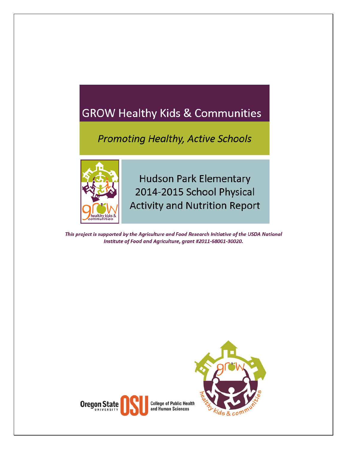# **GROW Healthy Kids & Communities**

## **Promoting Healthy, Active Schools**



**Hudson Park Elementary** 2014-2015 School Physical **Activity and Nutrition Report** 

This project is supported by the Agriculture and Food Research Initiative of the USDA National Institute of Food and Agriculture, grant #2011-68001-30020.



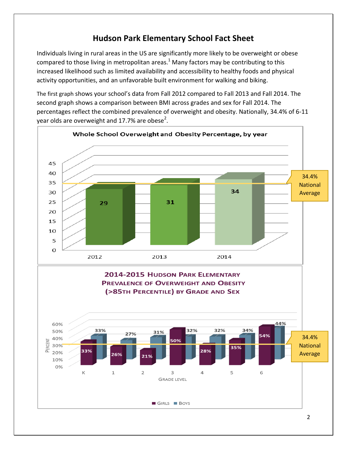#### **Hudson Park Elementary School Fact Sheet**

Individuals living in rural areas in the US are significantly more likely to be overweight or obese compared to those living in metropolitan areas[.](#page-4-0)<sup>1</sup> Many factors may be contributing to this increased likelihood such as limited availability and accessibility to healthy foods and physical activity opportunities, and an unfavorable built environment for walking and biking.

The first graph shows your school's data from Fall 2012 compared to Fall 2013 and Fall 2014. The second graph shows a comparison between BMI across grades and sex for Fall 2014. The percentages reflect the combined prevalence of overweight and obesity. Nationally, 34.4% of 6-11 year olds are overweight and 17.7% are obese<sup>2</sup>.

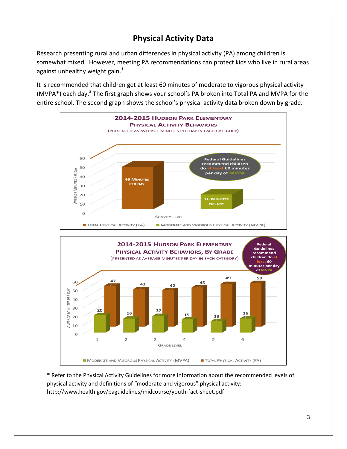### **Physical Activity Data**

Research presenting rural and urban differences in physical activity (PA) among children is somewhat mixed. However, meeting PA recommendations can protect kids who live in rural areas against unhealthy weight gain.<sup>[1](#page-4-0)</sup>

It is recommended that children get at least 60 minutes of moderate to vigorous physical activity (MVPA\*) each day.<sup>[3](#page-4-1)</sup> The first graph shows your school's PA broken into Total PA and MVPA for the entire school. The second graph shows the school's physical activity data broken down by grade.



**\*** Refer to the Physical Activity Guidelines for more information about the recommended levels of physical activity and definitions of "moderate and vigorous" physical activity: http://www.health.gov/paguidelines/midcourse/youth-fact-sheet.pdf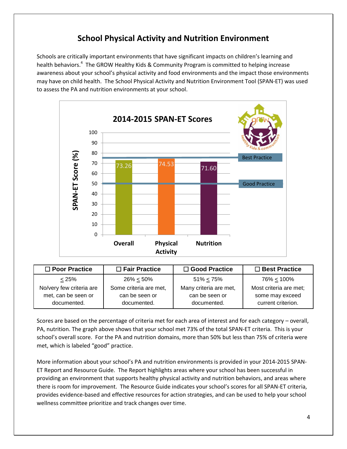#### **School Physical Activity and Nutrition Environment**

Schools are critically important environments that have significant impacts on children's learning and health behaviors[.](#page-4-2)<sup>4</sup> The GROW Healthy Kids & Community Program is committed to helping increase awareness about your school's physical activity and food environments and the impact those environments may have on child health. The School Physical Activity and Nutrition Environment Tool (SPAN-ET) was used to assess the PA and nutrition environments at your school.



| $\Box$ Poor Practice     | $\Box$ Fair Practice   | □ Good Practice        | $\Box$ Best Practice   |
|--------------------------|------------------------|------------------------|------------------------|
| < 25%                    | $26\% < 50\%$          | $51\% < 75\%$          | 76% < 100%             |
| No/very few criteria are | Some criteria are met, | Many criteria are met, | Most criteria are met; |
| met, can be seen or      | can be seen or         | can be seen or         | some may exceed        |
| documented.              | documented.            | documented.            | current criterion.     |

Scores are based on the percentage of criteria met for each area of interest and for each category – overall, PA, nutrition. The graph above shows that your school met 73% of the total SPAN-ET criteria. This is your school's overall score. For the PA and nutrition domains, more than 50% but less than 75% of criteria were met, which is labeled "good" practice.

More information about your school's PA and nutrition environments is provided in your 2014-2015 SPAN-ET Report and Resource Guide. The Report highlights areas where your school has been successful in providing an environment that supports healthy physical activity and nutrition behaviors, and areas where there is room for improvement. The Resource Guide indicates your school's scores for all SPAN-ET criteria, provides evidence-based and effective resources for action strategies, and can be used to help your school wellness committee prioritize and track changes over time.